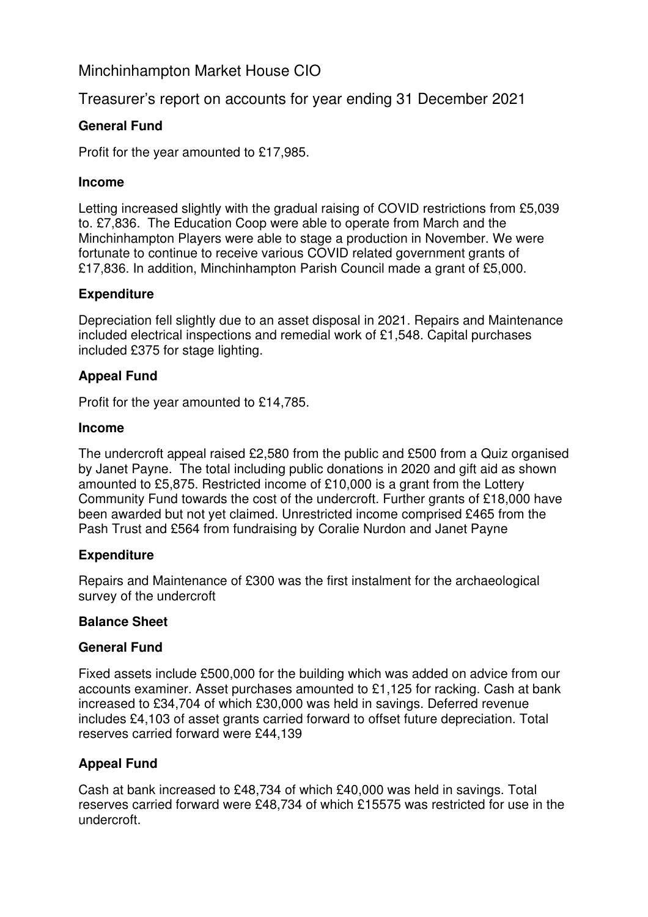# Minchinhampton Market House CIO

# Treasurer's report on accounts for year ending 31 December 2021

## **General Fund**

Profit for the year amounted to £17,985.

### **Income**

Letting increased slightly with the gradual raising of COVID restrictions from £5,039 to. £7,836. The Education Coop were able to operate from March and the Minchinhampton Players were able to stage a production in November. We were fortunate to continue to receive various COVID related government grants of £17,836. In addition, Minchinhampton Parish Council made a grant of £5,000.

## **Expenditure**

Depreciation fell slightly due to an asset disposal in 2021. Repairs and Maintenance included electrical inspections and remedial work of £1,548. Capital purchases included £375 for stage lighting.

## **Appeal Fund**

Profit for the year amounted to £14,785.

### **Income**

The undercroft appeal raised £2,580 from the public and £500 from a Quiz organised by Janet Payne. The total including public donations in 2020 and gift aid as shown amounted to £5,875. Restricted income of £10,000 is a grant from the Lottery Community Fund towards the cost of the undercroft. Further grants of £18,000 have been awarded but not yet claimed. Unrestricted income comprised £465 from the Pash Trust and £564 from fundraising by Coralie Nurdon and Janet Payne

### **Expenditure**

Repairs and Maintenance of £300 was the first instalment for the archaeological survey of the undercroft

### **Balance Sheet**

### **General Fund**

Fixed assets include £500,000 for the building which was added on advice from our accounts examiner. Asset purchases amounted to £1,125 for racking. Cash at bank increased to £34,704 of which £30,000 was held in savings. Deferred revenue includes £4,103 of asset grants carried forward to offset future depreciation. Total reserves carried forward were £44,139

## **Appeal Fund**

Cash at bank increased to £48,734 of which £40,000 was held in savings. Total reserves carried forward were £48,734 of which £15575 was restricted for use in the undercroft.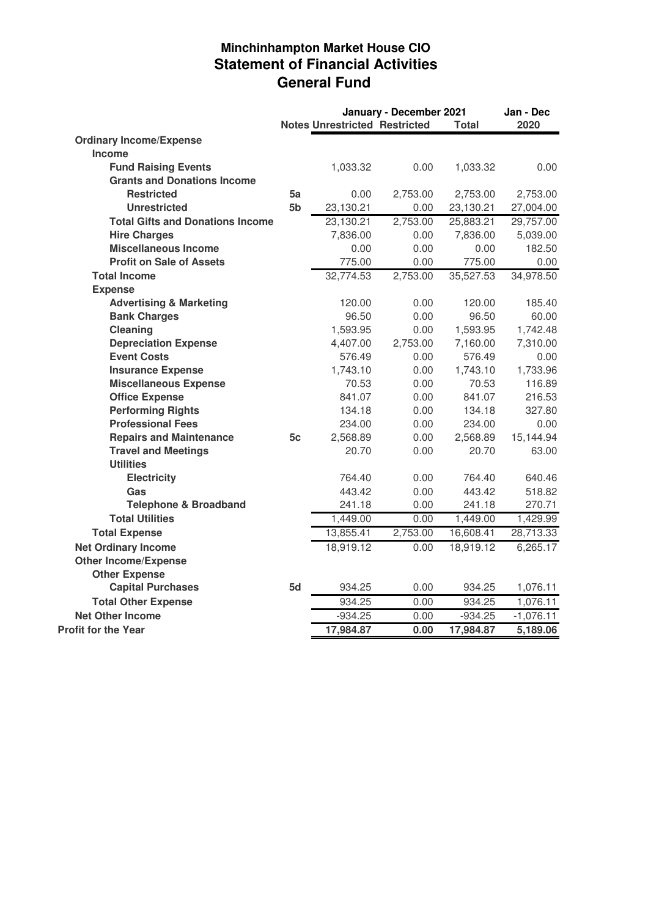# **Minchinhampton Market House CIO Statement of Financial Activities General Fund**

| <b>Notes Unrestricted Restricted</b><br>2020<br><b>Total</b><br><b>Ordinary Income/Expense</b><br><b>Income</b><br><b>Fund Raising Events</b><br>1,033.32<br>0.00<br>0.00<br>1,033.32<br><b>Grants and Donations Income</b><br><b>Restricted</b><br>5a<br>0.00<br>2,753.00<br>2,753.00<br>2,753.00<br>5 <sub>b</sub><br><b>Unrestricted</b><br>0.00<br>23,130.21<br>23,130.21<br>27,004.00<br><b>Total Gifts and Donations Income</b><br>23,130.21<br>2,753.00<br>25,883.21<br>29,757.00<br><b>Hire Charges</b><br>7,836.00<br>7,836.00<br>0.00<br>5,039.00<br><b>Miscellaneous Income</b><br>0.00<br>0.00<br>0.00<br>182.50<br><b>Profit on Sale of Assets</b><br>775.00<br>0.00<br>775.00<br>0.00<br>32,774.53<br>2,753.00<br>35,527.53<br>34,978.50<br><b>Total Income</b><br><b>Expense</b><br><b>Advertising &amp; Marketing</b><br>120.00<br>0.00<br>120.00<br>185.40<br><b>Bank Charges</b><br>96.50<br>0.00<br>96.50<br>60.00<br>Cleaning<br>0.00<br>1,742.48<br>1,593.95<br>1,593.95<br><b>Depreciation Expense</b><br>2,753.00<br>4,407.00<br>7,160.00<br>7,310.00<br><b>Event Costs</b><br>576.49<br>0.00<br>576.49<br>0.00<br>1,733.96<br><b>Insurance Expense</b><br>1,743.10<br>0.00<br>1,743.10<br><b>Miscellaneous Expense</b><br>70.53<br>0.00<br>70.53<br>116.89<br><b>Office Expense</b><br>841.07<br>0.00<br>841.07<br>216.53<br><b>Performing Rights</b><br>134.18<br>327.80<br>0.00<br>134.18<br><b>Professional Fees</b><br>234.00<br>234.00<br>0.00<br>0.00<br><b>Repairs and Maintenance</b><br>5c<br>2,568.89<br>0.00<br>2,568.89<br>15,144.94<br><b>Travel and Meetings</b><br>20.70<br>63.00<br>20.70<br>0.00<br><b>Utilities</b><br><b>Electricity</b><br>764.40<br>640.46<br>0.00<br>764.40<br>443.42<br>443.42<br>Gas<br>0.00<br>518.82<br><b>Telephone &amp; Broadband</b><br>241.18<br>0.00<br>241.18<br>270.71<br><b>Total Utilities</b><br>1,449.00<br>1,449.00<br>1,429.99<br>0.00<br>13,855.41<br>2,753.00<br>16,608.41<br>28,713.33<br><b>Total Expense</b><br><b>Net Ordinary Income</b><br>18,919.12<br>0.00<br>18,919.12<br>6,265.17<br><b>Other Income/Expense</b><br><b>Other Expense</b><br><b>Capital Purchases</b><br>5d<br>934.25<br>0.00<br>934.25<br>1,076.11<br>934.25<br><b>Total Other Expense</b><br>1,076.11<br>0.00<br>934.25<br><b>Net Other Income</b><br>$-934.25$<br>$-1,076.11$<br>0.00<br>$-934.25$<br>17,984.87<br>0.00<br>5,189.06<br>17,984.87 |                            | January - December 2021 |  |  |  | Jan - Dec |
|----------------------------------------------------------------------------------------------------------------------------------------------------------------------------------------------------------------------------------------------------------------------------------------------------------------------------------------------------------------------------------------------------------------------------------------------------------------------------------------------------------------------------------------------------------------------------------------------------------------------------------------------------------------------------------------------------------------------------------------------------------------------------------------------------------------------------------------------------------------------------------------------------------------------------------------------------------------------------------------------------------------------------------------------------------------------------------------------------------------------------------------------------------------------------------------------------------------------------------------------------------------------------------------------------------------------------------------------------------------------------------------------------------------------------------------------------------------------------------------------------------------------------------------------------------------------------------------------------------------------------------------------------------------------------------------------------------------------------------------------------------------------------------------------------------------------------------------------------------------------------------------------------------------------------------------------------------------------------------------------------------------------------------------------------------------------------------------------------------------------------------------------------------------------------------------------------------------------------------------------------------------------------------------------------------------------------------------------------------------------------------------------------------------|----------------------------|-------------------------|--|--|--|-----------|
|                                                                                                                                                                                                                                                                                                                                                                                                                                                                                                                                                                                                                                                                                                                                                                                                                                                                                                                                                                                                                                                                                                                                                                                                                                                                                                                                                                                                                                                                                                                                                                                                                                                                                                                                                                                                                                                                                                                                                                                                                                                                                                                                                                                                                                                                                                                                                                                                                |                            |                         |  |  |  |           |
|                                                                                                                                                                                                                                                                                                                                                                                                                                                                                                                                                                                                                                                                                                                                                                                                                                                                                                                                                                                                                                                                                                                                                                                                                                                                                                                                                                                                                                                                                                                                                                                                                                                                                                                                                                                                                                                                                                                                                                                                                                                                                                                                                                                                                                                                                                                                                                                                                |                            |                         |  |  |  |           |
|                                                                                                                                                                                                                                                                                                                                                                                                                                                                                                                                                                                                                                                                                                                                                                                                                                                                                                                                                                                                                                                                                                                                                                                                                                                                                                                                                                                                                                                                                                                                                                                                                                                                                                                                                                                                                                                                                                                                                                                                                                                                                                                                                                                                                                                                                                                                                                                                                |                            |                         |  |  |  |           |
|                                                                                                                                                                                                                                                                                                                                                                                                                                                                                                                                                                                                                                                                                                                                                                                                                                                                                                                                                                                                                                                                                                                                                                                                                                                                                                                                                                                                                                                                                                                                                                                                                                                                                                                                                                                                                                                                                                                                                                                                                                                                                                                                                                                                                                                                                                                                                                                                                |                            |                         |  |  |  |           |
|                                                                                                                                                                                                                                                                                                                                                                                                                                                                                                                                                                                                                                                                                                                                                                                                                                                                                                                                                                                                                                                                                                                                                                                                                                                                                                                                                                                                                                                                                                                                                                                                                                                                                                                                                                                                                                                                                                                                                                                                                                                                                                                                                                                                                                                                                                                                                                                                                |                            |                         |  |  |  |           |
|                                                                                                                                                                                                                                                                                                                                                                                                                                                                                                                                                                                                                                                                                                                                                                                                                                                                                                                                                                                                                                                                                                                                                                                                                                                                                                                                                                                                                                                                                                                                                                                                                                                                                                                                                                                                                                                                                                                                                                                                                                                                                                                                                                                                                                                                                                                                                                                                                |                            |                         |  |  |  |           |
|                                                                                                                                                                                                                                                                                                                                                                                                                                                                                                                                                                                                                                                                                                                                                                                                                                                                                                                                                                                                                                                                                                                                                                                                                                                                                                                                                                                                                                                                                                                                                                                                                                                                                                                                                                                                                                                                                                                                                                                                                                                                                                                                                                                                                                                                                                                                                                                                                |                            |                         |  |  |  |           |
|                                                                                                                                                                                                                                                                                                                                                                                                                                                                                                                                                                                                                                                                                                                                                                                                                                                                                                                                                                                                                                                                                                                                                                                                                                                                                                                                                                                                                                                                                                                                                                                                                                                                                                                                                                                                                                                                                                                                                                                                                                                                                                                                                                                                                                                                                                                                                                                                                |                            |                         |  |  |  |           |
|                                                                                                                                                                                                                                                                                                                                                                                                                                                                                                                                                                                                                                                                                                                                                                                                                                                                                                                                                                                                                                                                                                                                                                                                                                                                                                                                                                                                                                                                                                                                                                                                                                                                                                                                                                                                                                                                                                                                                                                                                                                                                                                                                                                                                                                                                                                                                                                                                |                            |                         |  |  |  |           |
|                                                                                                                                                                                                                                                                                                                                                                                                                                                                                                                                                                                                                                                                                                                                                                                                                                                                                                                                                                                                                                                                                                                                                                                                                                                                                                                                                                                                                                                                                                                                                                                                                                                                                                                                                                                                                                                                                                                                                                                                                                                                                                                                                                                                                                                                                                                                                                                                                |                            |                         |  |  |  |           |
|                                                                                                                                                                                                                                                                                                                                                                                                                                                                                                                                                                                                                                                                                                                                                                                                                                                                                                                                                                                                                                                                                                                                                                                                                                                                                                                                                                                                                                                                                                                                                                                                                                                                                                                                                                                                                                                                                                                                                                                                                                                                                                                                                                                                                                                                                                                                                                                                                |                            |                         |  |  |  |           |
|                                                                                                                                                                                                                                                                                                                                                                                                                                                                                                                                                                                                                                                                                                                                                                                                                                                                                                                                                                                                                                                                                                                                                                                                                                                                                                                                                                                                                                                                                                                                                                                                                                                                                                                                                                                                                                                                                                                                                                                                                                                                                                                                                                                                                                                                                                                                                                                                                |                            |                         |  |  |  |           |
|                                                                                                                                                                                                                                                                                                                                                                                                                                                                                                                                                                                                                                                                                                                                                                                                                                                                                                                                                                                                                                                                                                                                                                                                                                                                                                                                                                                                                                                                                                                                                                                                                                                                                                                                                                                                                                                                                                                                                                                                                                                                                                                                                                                                                                                                                                                                                                                                                |                            |                         |  |  |  |           |
|                                                                                                                                                                                                                                                                                                                                                                                                                                                                                                                                                                                                                                                                                                                                                                                                                                                                                                                                                                                                                                                                                                                                                                                                                                                                                                                                                                                                                                                                                                                                                                                                                                                                                                                                                                                                                                                                                                                                                                                                                                                                                                                                                                                                                                                                                                                                                                                                                |                            |                         |  |  |  |           |
|                                                                                                                                                                                                                                                                                                                                                                                                                                                                                                                                                                                                                                                                                                                                                                                                                                                                                                                                                                                                                                                                                                                                                                                                                                                                                                                                                                                                                                                                                                                                                                                                                                                                                                                                                                                                                                                                                                                                                                                                                                                                                                                                                                                                                                                                                                                                                                                                                |                            |                         |  |  |  |           |
|                                                                                                                                                                                                                                                                                                                                                                                                                                                                                                                                                                                                                                                                                                                                                                                                                                                                                                                                                                                                                                                                                                                                                                                                                                                                                                                                                                                                                                                                                                                                                                                                                                                                                                                                                                                                                                                                                                                                                                                                                                                                                                                                                                                                                                                                                                                                                                                                                |                            |                         |  |  |  |           |
|                                                                                                                                                                                                                                                                                                                                                                                                                                                                                                                                                                                                                                                                                                                                                                                                                                                                                                                                                                                                                                                                                                                                                                                                                                                                                                                                                                                                                                                                                                                                                                                                                                                                                                                                                                                                                                                                                                                                                                                                                                                                                                                                                                                                                                                                                                                                                                                                                |                            |                         |  |  |  |           |
|                                                                                                                                                                                                                                                                                                                                                                                                                                                                                                                                                                                                                                                                                                                                                                                                                                                                                                                                                                                                                                                                                                                                                                                                                                                                                                                                                                                                                                                                                                                                                                                                                                                                                                                                                                                                                                                                                                                                                                                                                                                                                                                                                                                                                                                                                                                                                                                                                |                            |                         |  |  |  |           |
|                                                                                                                                                                                                                                                                                                                                                                                                                                                                                                                                                                                                                                                                                                                                                                                                                                                                                                                                                                                                                                                                                                                                                                                                                                                                                                                                                                                                                                                                                                                                                                                                                                                                                                                                                                                                                                                                                                                                                                                                                                                                                                                                                                                                                                                                                                                                                                                                                |                            |                         |  |  |  |           |
|                                                                                                                                                                                                                                                                                                                                                                                                                                                                                                                                                                                                                                                                                                                                                                                                                                                                                                                                                                                                                                                                                                                                                                                                                                                                                                                                                                                                                                                                                                                                                                                                                                                                                                                                                                                                                                                                                                                                                                                                                                                                                                                                                                                                                                                                                                                                                                                                                |                            |                         |  |  |  |           |
|                                                                                                                                                                                                                                                                                                                                                                                                                                                                                                                                                                                                                                                                                                                                                                                                                                                                                                                                                                                                                                                                                                                                                                                                                                                                                                                                                                                                                                                                                                                                                                                                                                                                                                                                                                                                                                                                                                                                                                                                                                                                                                                                                                                                                                                                                                                                                                                                                |                            |                         |  |  |  |           |
|                                                                                                                                                                                                                                                                                                                                                                                                                                                                                                                                                                                                                                                                                                                                                                                                                                                                                                                                                                                                                                                                                                                                                                                                                                                                                                                                                                                                                                                                                                                                                                                                                                                                                                                                                                                                                                                                                                                                                                                                                                                                                                                                                                                                                                                                                                                                                                                                                |                            |                         |  |  |  |           |
|                                                                                                                                                                                                                                                                                                                                                                                                                                                                                                                                                                                                                                                                                                                                                                                                                                                                                                                                                                                                                                                                                                                                                                                                                                                                                                                                                                                                                                                                                                                                                                                                                                                                                                                                                                                                                                                                                                                                                                                                                                                                                                                                                                                                                                                                                                                                                                                                                |                            |                         |  |  |  |           |
|                                                                                                                                                                                                                                                                                                                                                                                                                                                                                                                                                                                                                                                                                                                                                                                                                                                                                                                                                                                                                                                                                                                                                                                                                                                                                                                                                                                                                                                                                                                                                                                                                                                                                                                                                                                                                                                                                                                                                                                                                                                                                                                                                                                                                                                                                                                                                                                                                |                            |                         |  |  |  |           |
|                                                                                                                                                                                                                                                                                                                                                                                                                                                                                                                                                                                                                                                                                                                                                                                                                                                                                                                                                                                                                                                                                                                                                                                                                                                                                                                                                                                                                                                                                                                                                                                                                                                                                                                                                                                                                                                                                                                                                                                                                                                                                                                                                                                                                                                                                                                                                                                                                |                            |                         |  |  |  |           |
|                                                                                                                                                                                                                                                                                                                                                                                                                                                                                                                                                                                                                                                                                                                                                                                                                                                                                                                                                                                                                                                                                                                                                                                                                                                                                                                                                                                                                                                                                                                                                                                                                                                                                                                                                                                                                                                                                                                                                                                                                                                                                                                                                                                                                                                                                                                                                                                                                |                            |                         |  |  |  |           |
|                                                                                                                                                                                                                                                                                                                                                                                                                                                                                                                                                                                                                                                                                                                                                                                                                                                                                                                                                                                                                                                                                                                                                                                                                                                                                                                                                                                                                                                                                                                                                                                                                                                                                                                                                                                                                                                                                                                                                                                                                                                                                                                                                                                                                                                                                                                                                                                                                |                            |                         |  |  |  |           |
|                                                                                                                                                                                                                                                                                                                                                                                                                                                                                                                                                                                                                                                                                                                                                                                                                                                                                                                                                                                                                                                                                                                                                                                                                                                                                                                                                                                                                                                                                                                                                                                                                                                                                                                                                                                                                                                                                                                                                                                                                                                                                                                                                                                                                                                                                                                                                                                                                |                            |                         |  |  |  |           |
|                                                                                                                                                                                                                                                                                                                                                                                                                                                                                                                                                                                                                                                                                                                                                                                                                                                                                                                                                                                                                                                                                                                                                                                                                                                                                                                                                                                                                                                                                                                                                                                                                                                                                                                                                                                                                                                                                                                                                                                                                                                                                                                                                                                                                                                                                                                                                                                                                |                            |                         |  |  |  |           |
|                                                                                                                                                                                                                                                                                                                                                                                                                                                                                                                                                                                                                                                                                                                                                                                                                                                                                                                                                                                                                                                                                                                                                                                                                                                                                                                                                                                                                                                                                                                                                                                                                                                                                                                                                                                                                                                                                                                                                                                                                                                                                                                                                                                                                                                                                                                                                                                                                |                            |                         |  |  |  |           |
|                                                                                                                                                                                                                                                                                                                                                                                                                                                                                                                                                                                                                                                                                                                                                                                                                                                                                                                                                                                                                                                                                                                                                                                                                                                                                                                                                                                                                                                                                                                                                                                                                                                                                                                                                                                                                                                                                                                                                                                                                                                                                                                                                                                                                                                                                                                                                                                                                |                            |                         |  |  |  |           |
|                                                                                                                                                                                                                                                                                                                                                                                                                                                                                                                                                                                                                                                                                                                                                                                                                                                                                                                                                                                                                                                                                                                                                                                                                                                                                                                                                                                                                                                                                                                                                                                                                                                                                                                                                                                                                                                                                                                                                                                                                                                                                                                                                                                                                                                                                                                                                                                                                |                            |                         |  |  |  |           |
|                                                                                                                                                                                                                                                                                                                                                                                                                                                                                                                                                                                                                                                                                                                                                                                                                                                                                                                                                                                                                                                                                                                                                                                                                                                                                                                                                                                                                                                                                                                                                                                                                                                                                                                                                                                                                                                                                                                                                                                                                                                                                                                                                                                                                                                                                                                                                                                                                |                            |                         |  |  |  |           |
|                                                                                                                                                                                                                                                                                                                                                                                                                                                                                                                                                                                                                                                                                                                                                                                                                                                                                                                                                                                                                                                                                                                                                                                                                                                                                                                                                                                                                                                                                                                                                                                                                                                                                                                                                                                                                                                                                                                                                                                                                                                                                                                                                                                                                                                                                                                                                                                                                |                            |                         |  |  |  |           |
|                                                                                                                                                                                                                                                                                                                                                                                                                                                                                                                                                                                                                                                                                                                                                                                                                                                                                                                                                                                                                                                                                                                                                                                                                                                                                                                                                                                                                                                                                                                                                                                                                                                                                                                                                                                                                                                                                                                                                                                                                                                                                                                                                                                                                                                                                                                                                                                                                |                            |                         |  |  |  |           |
|                                                                                                                                                                                                                                                                                                                                                                                                                                                                                                                                                                                                                                                                                                                                                                                                                                                                                                                                                                                                                                                                                                                                                                                                                                                                                                                                                                                                                                                                                                                                                                                                                                                                                                                                                                                                                                                                                                                                                                                                                                                                                                                                                                                                                                                                                                                                                                                                                |                            |                         |  |  |  |           |
|                                                                                                                                                                                                                                                                                                                                                                                                                                                                                                                                                                                                                                                                                                                                                                                                                                                                                                                                                                                                                                                                                                                                                                                                                                                                                                                                                                                                                                                                                                                                                                                                                                                                                                                                                                                                                                                                                                                                                                                                                                                                                                                                                                                                                                                                                                                                                                                                                |                            |                         |  |  |  |           |
|                                                                                                                                                                                                                                                                                                                                                                                                                                                                                                                                                                                                                                                                                                                                                                                                                                                                                                                                                                                                                                                                                                                                                                                                                                                                                                                                                                                                                                                                                                                                                                                                                                                                                                                                                                                                                                                                                                                                                                                                                                                                                                                                                                                                                                                                                                                                                                                                                | <b>Profit for the Year</b> |                         |  |  |  |           |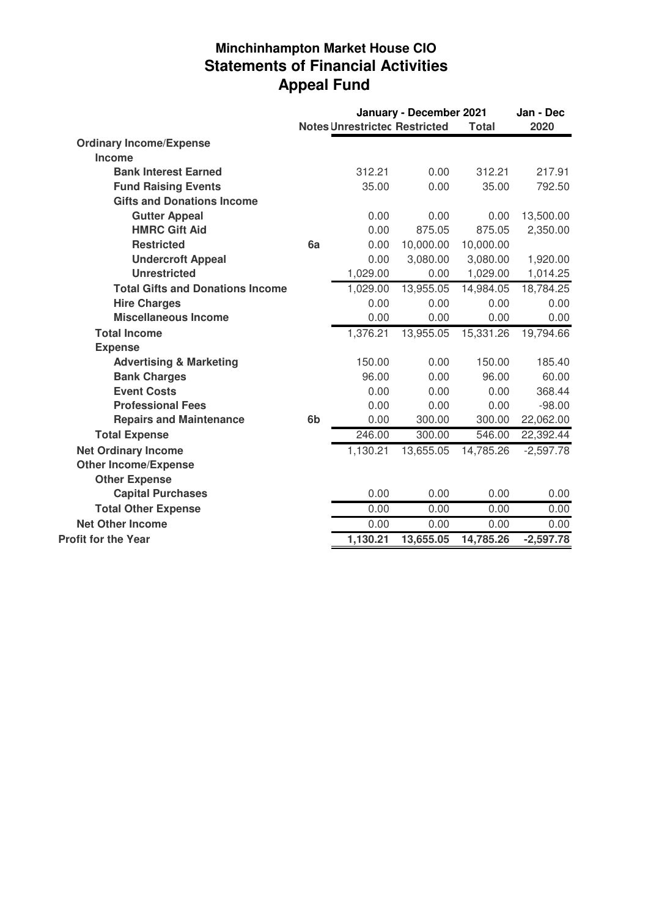# **Minchinhampton Market House CIO Statements of Financial Activities Appeal Fund**

|                                         |                | January - December 2021              |           |              | Jan - Dec   |
|-----------------------------------------|----------------|--------------------------------------|-----------|--------------|-------------|
|                                         |                | <b>Notes Unrestrictec Restricted</b> |           | <b>Total</b> | 2020        |
| <b>Ordinary Income/Expense</b>          |                |                                      |           |              |             |
| Income                                  |                |                                      |           |              |             |
| <b>Bank Interest Earned</b>             |                | 312.21                               | 0.00      | 312.21       | 217.91      |
| <b>Fund Raising Events</b>              |                | 35.00                                | 0.00      | 35.00        | 792.50      |
| <b>Gifts and Donations Income</b>       |                |                                      |           |              |             |
| <b>Gutter Appeal</b>                    |                | 0.00                                 | 0.00      | 0.00         | 13,500.00   |
| <b>HMRC Gift Aid</b>                    |                | 0.00                                 | 875.05    | 875.05       | 2,350.00    |
| <b>Restricted</b>                       | 6a             | 0.00                                 | 10,000.00 | 10,000.00    |             |
| <b>Undercroft Appeal</b>                |                | 0.00                                 | 3,080.00  | 3,080.00     | 1,920.00    |
| <b>Unrestricted</b>                     |                | 1,029.00                             | 0.00      | 1,029.00     | 1,014.25    |
| <b>Total Gifts and Donations Income</b> |                | 1,029.00                             | 13,955.05 | 14,984.05    | 18,784.25   |
| <b>Hire Charges</b>                     |                | 0.00                                 | 0.00      | 0.00         | 0.00        |
| <b>Miscellaneous Income</b>             |                | 0.00                                 | 0.00      | 0.00         | 0.00        |
| <b>Total Income</b>                     |                | 1,376.21                             | 13,955.05 | 15,331.26    | 19,794.66   |
| <b>Expense</b>                          |                |                                      |           |              |             |
| <b>Advertising &amp; Marketing</b>      |                | 150.00                               | 0.00      | 150.00       | 185.40      |
| <b>Bank Charges</b>                     |                | 96.00                                | 0.00      | 96.00        | 60.00       |
| <b>Event Costs</b>                      |                | 0.00                                 | 0.00      | 0.00         | 368.44      |
| <b>Professional Fees</b>                |                | 0.00                                 | 0.00      | 0.00         | $-98.00$    |
| <b>Repairs and Maintenance</b>          | 6 <sub>b</sub> | 0.00                                 | 300.00    | 300.00       | 22,062.00   |
| <b>Total Expense</b>                    |                | 246.00                               | 300.00    | 546.00       | 22,392.44   |
| <b>Net Ordinary Income</b>              |                | 1,130.21                             | 13,655.05 | 14,785.26    | $-2,597.78$ |
| <b>Other Income/Expense</b>             |                |                                      |           |              |             |
| <b>Other Expense</b>                    |                |                                      |           |              |             |
| <b>Capital Purchases</b>                |                | 0.00                                 | 0.00      | 0.00         | 0.00        |
| <b>Total Other Expense</b>              |                | 0.00                                 | 0.00      | 0.00         | 0.00        |
| <b>Net Other Income</b>                 |                | 0.00                                 | 0.00      | 0.00         | 0.00        |
| <b>Profit for the Year</b>              |                | 1,130.21                             | 13,655.05 | 14,785.26    | $-2,597.78$ |
|                                         |                |                                      |           |              |             |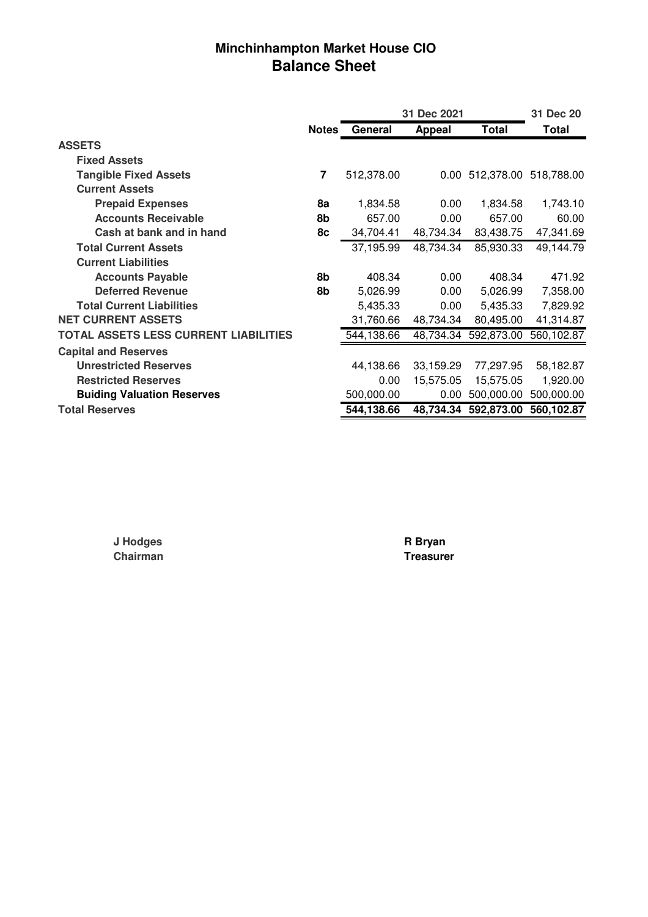# **Minchinhampton Market House CIO Balance Sheet**

|                                       |                | 31 Dec 2021 |           |                      | 31 Dec 20             |
|---------------------------------------|----------------|-------------|-----------|----------------------|-----------------------|
|                                       | <b>Notes</b>   | General     | Appeal    | <b>Total</b>         | Total                 |
| <b>ASSETS</b>                         |                |             |           |                      |                       |
| <b>Fixed Assets</b>                   |                |             |           |                      |                       |
| <b>Tangible Fixed Assets</b>          | $\overline{7}$ | 512,378.00  | $0.00\,$  |                      | 512,378.00 518,788.00 |
| <b>Current Assets</b>                 |                |             |           |                      |                       |
| <b>Prepaid Expenses</b>               | 8a             | 1,834.58    | 0.00      | 1,834.58             | 1,743.10              |
| <b>Accounts Receivable</b>            | 8b             | 657.00      | 0.00      | 657.00               | 60.00                 |
| Cash at bank and in hand              | 8с             | 34,704.41   | 48,734.34 | 83,438.75            | 47,341.69             |
| <b>Total Current Assets</b>           |                | 37,195.99   | 48,734.34 | 85,930.33            | 49,144.79             |
| <b>Current Liabilities</b>            |                |             |           |                      |                       |
| <b>Accounts Payable</b>               | 8b             | 408.34      | 0.00      | 408.34               | 471.92                |
| <b>Deferred Revenue</b>               | 8b             | 5,026.99    | 0.00      | 5,026.99             | 7,358.00              |
| <b>Total Current Liabilities</b>      |                | 5,435.33    | 0.00      | 5,435.33             | 7,829.92              |
| <b>NET CURRENT ASSETS</b>             |                | 31,760.66   | 48,734.34 | 80,495.00            | 41,314.87             |
| TOTAL ASSETS LESS CURRENT LIABILITIES |                | 544,138.66  |           | 48,734.34 592,873.00 | 560,102.87            |
| <b>Capital and Reserves</b>           |                |             |           |                      |                       |
| <b>Unrestricted Reserves</b>          |                | 44,138.66   | 33,159.29 | 77,297.95            | 58,182.87             |
| <b>Restricted Reserves</b>            |                | 0.00        | 15,575.05 | 15,575.05            | 1,920.00              |
| <b>Buiding Valuation Reserves</b>     |                | 500,000.00  | 0.00      | 500,000.00           | 500,000.00            |
| <b>Total Reserves</b>                 |                | 544,138.66  |           | 48,734.34 592,873.00 | 560,102.87            |

**Chairman** 

**J Hodges R Bryan**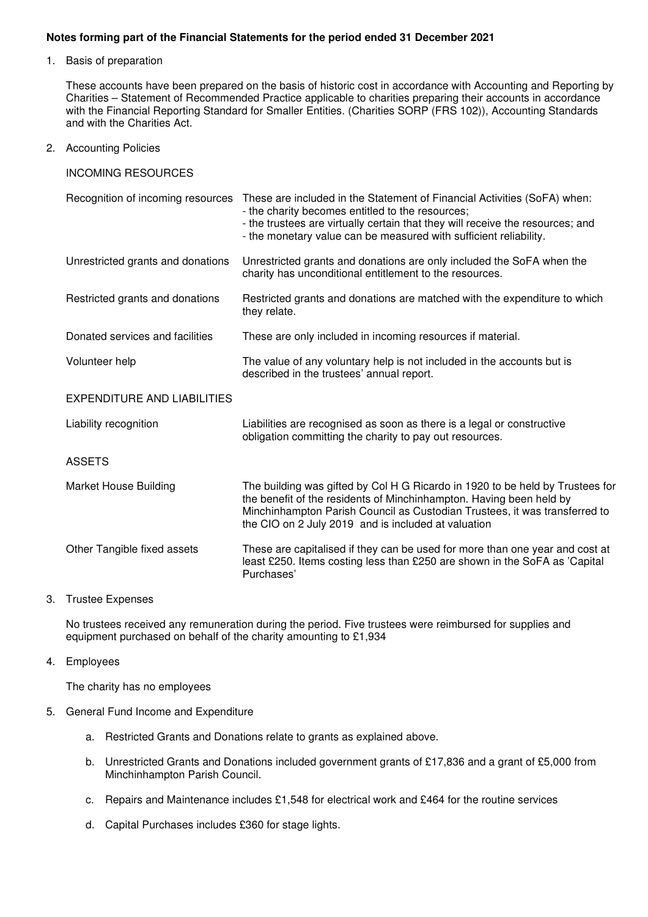#### **Notes forming part of the Financial Statements for the period ended 31 December 2021**

1. Basis of preparation

These accounts have been prepared on the basis of historic cost in accordance with Accounting and Reporting by Charities – Statement of Recommended Practice applicable to charities preparing their accounts in accordance with the Financial Reporting Standard for Smaller Entities. (Charities SORP (FRS 102)), Accounting Standards and with the Charities Act.

2. Accounting Policies

INCOMING RESOURCES

|                                    | Recognition of incoming resources These are included in the Statement of Financial Activities (SoFA) when:<br>- the charity becomes entitled to the resources;<br>- the trustees are virtually certain that they will receive the resources; and<br>- the monetary value can be measured with sufficient reliability. |
|------------------------------------|-----------------------------------------------------------------------------------------------------------------------------------------------------------------------------------------------------------------------------------------------------------------------------------------------------------------------|
| Unrestricted grants and donations  | Unrestricted grants and donations are only included the SoFA when the<br>charity has unconditional entitlement to the resources.                                                                                                                                                                                      |
| Restricted grants and donations    | Restricted grants and donations are matched with the expenditure to which<br>they relate.                                                                                                                                                                                                                             |
| Donated services and facilities    | These are only included in incoming resources if material.                                                                                                                                                                                                                                                            |
| Volunteer help                     | The value of any voluntary help is not included in the accounts but is<br>described in the trustees' annual report.                                                                                                                                                                                                   |
| <b>EXPENDITURE AND LIABILITIES</b> |                                                                                                                                                                                                                                                                                                                       |
| Liability recognition              | Liabilities are recognised as soon as there is a legal or constructive<br>obligation committing the charity to pay out resources.                                                                                                                                                                                     |
| <b>ASSETS</b>                      |                                                                                                                                                                                                                                                                                                                       |
| <b>Market House Building</b>       | The building was gifted by Col H G Ricardo in 1920 to be held by Trustees for<br>the benefit of the residents of Minchinhampton. Having been held by<br>Minchinhampton Parish Council as Custodian Trustees, it was transferred to<br>the CIO on 2 July 2019 and is included at valuation                             |
| Other Tangible fixed assets        | These are capitalised if they can be used for more than one year and cost at<br>least £250. Items costing less than £250 are shown in the SoFA as 'Capital<br>Purchases'                                                                                                                                              |

#### 3. Trustee Expenses

No trustees received any remuneration during the period. Five trustees were reimbursed for supplies and equipment purchased on behalf of the charity amounting to £1,934

#### 4. Employees

The charity has no employees

- 5. General Fund Income and Expenditure
	- a. Restricted Grants and Donations relate to grants as explained above.
	- b. Unrestricted Grants and Donations included government grants of £17,836 and a grant of £5,000 from Minchinhampton Parish Council.
	- c. Repairs and Maintenance includes £1,548 for electrical work and £464 for the routine services
	- d. Capital Purchases includes £360 for stage lights.